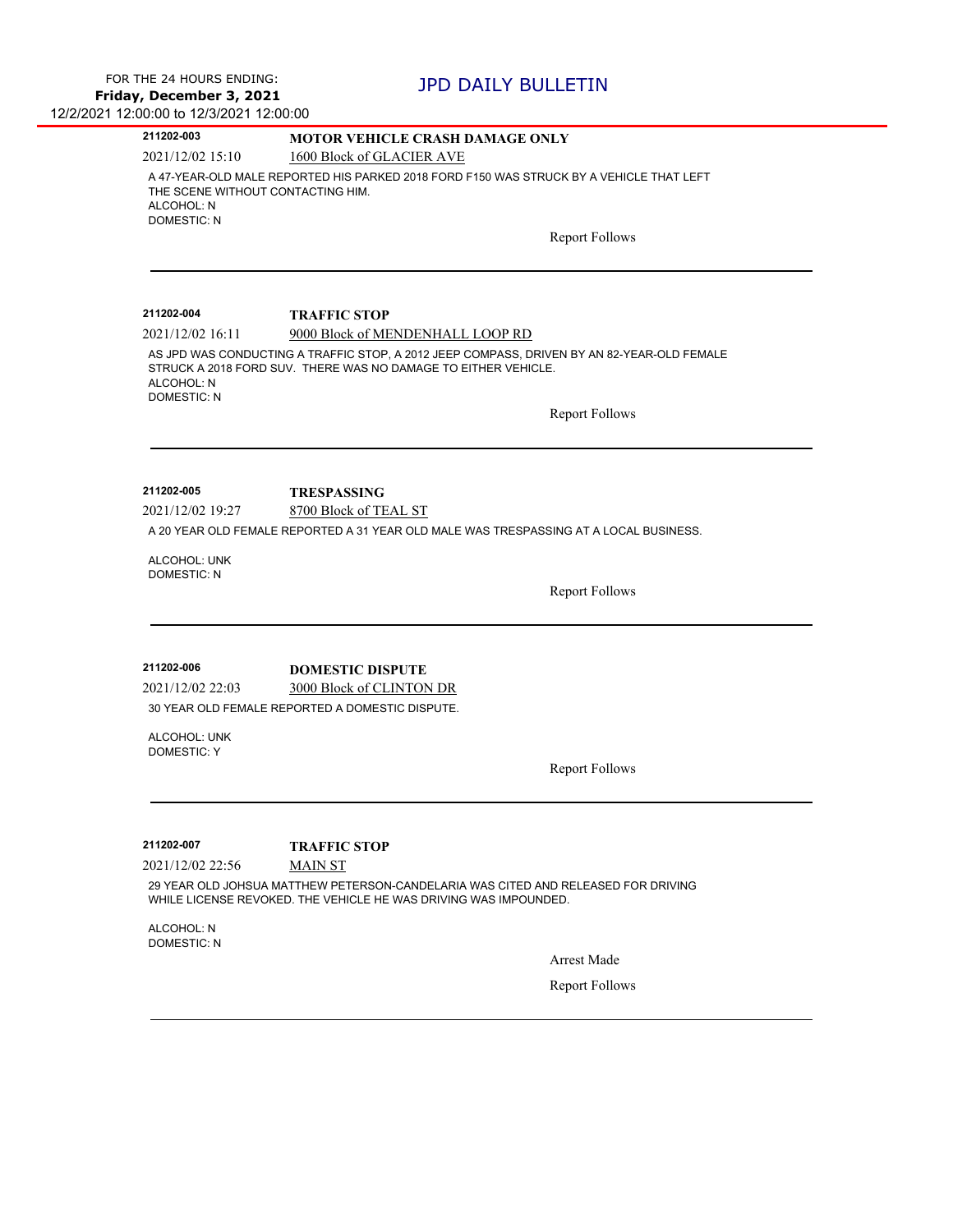| 211202-003                                                            | <b>MOTOR VEHICLE CRASH DAMAGE ONLY</b>                                                                                                                                  |
|-----------------------------------------------------------------------|-------------------------------------------------------------------------------------------------------------------------------------------------------------------------|
| 2021/12/02 15:10                                                      | 1600 Block of GLACIER AVE                                                                                                                                               |
| THE SCENE WITHOUT CONTACTING HIM.<br>ALCOHOL: N<br><b>DOMESTIC: N</b> | A 47-YEAR-OLD MALE REPORTED HIS PARKED 2018 FORD F150 WAS STRUCK BY A VEHICLE THAT LEFT                                                                                 |
|                                                                       | <b>Report Follows</b>                                                                                                                                                   |
|                                                                       |                                                                                                                                                                         |
| 211202-004                                                            | <b>TRAFFIC STOP</b>                                                                                                                                                     |
| 2021/12/02 16:11                                                      | 9000 Block of MENDENHALL LOOP RD                                                                                                                                        |
| ALCOHOL: N<br><b>DOMESTIC: N</b>                                      | AS JPD WAS CONDUCTING A TRAFFIC STOP, A 2012 JEEP COMPASS, DRIVEN BY AN 82-YEAR-OLD FEMALE<br>STRUCK A 2018 FORD SUV. THERE WAS NO DAMAGE TO EITHER VEHICLE.            |
|                                                                       | <b>Report Follows</b>                                                                                                                                                   |
|                                                                       |                                                                                                                                                                         |
| 211202-005                                                            | <b>TRESPASSING</b>                                                                                                                                                      |
| 2021/12/02 19:27                                                      | 8700 Block of TEAL ST                                                                                                                                                   |
|                                                                       | A 20 YEAR OLD FEMALE REPORTED A 31 YEAR OLD MALE WAS TRESPASSING AT A LOCAL BUSINESS.                                                                                   |
| ALCOHOL: UNK                                                          |                                                                                                                                                                         |
| <b>DOMESTIC: N</b>                                                    | <b>Report Follows</b>                                                                                                                                                   |
|                                                                       |                                                                                                                                                                         |
| 211202-006                                                            | <b>DOMESTIC DISPUTE</b>                                                                                                                                                 |
| 2021/12/02 22:03                                                      | 3000 Block of CLINTON DR                                                                                                                                                |
|                                                                       | 30 YEAR OLD FEMALE REPORTED A DOMESTIC DISPUTE.                                                                                                                         |
| ALCOHOL: UNK<br><b>DOMESTIC: Y</b>                                    |                                                                                                                                                                         |
|                                                                       | <b>Report Follows</b>                                                                                                                                                   |
|                                                                       |                                                                                                                                                                         |
| 211202-007                                                            | <b>TRAFFIC STOP</b>                                                                                                                                                     |
| 2021/12/02 22:56                                                      | <b>MAIN ST</b><br>29 YEAR OLD JOHSUA MATTHEW PETERSON-CANDELARIA WAS CITED AND RELEASED FOR DRIVING<br>WHILE LICENSE REVOKED. THE VEHICLE HE WAS DRIVING WAS IMPOUNDED. |
|                                                                       |                                                                                                                                                                         |
| ALCOHOL: N<br><b>DOMESTIC: N</b>                                      |                                                                                                                                                                         |
|                                                                       | <b>Arrest Made</b>                                                                                                                                                      |
|                                                                       |                                                                                                                                                                         |
|                                                                       | <b>Report Follows</b>                                                                                                                                                   |
|                                                                       |                                                                                                                                                                         |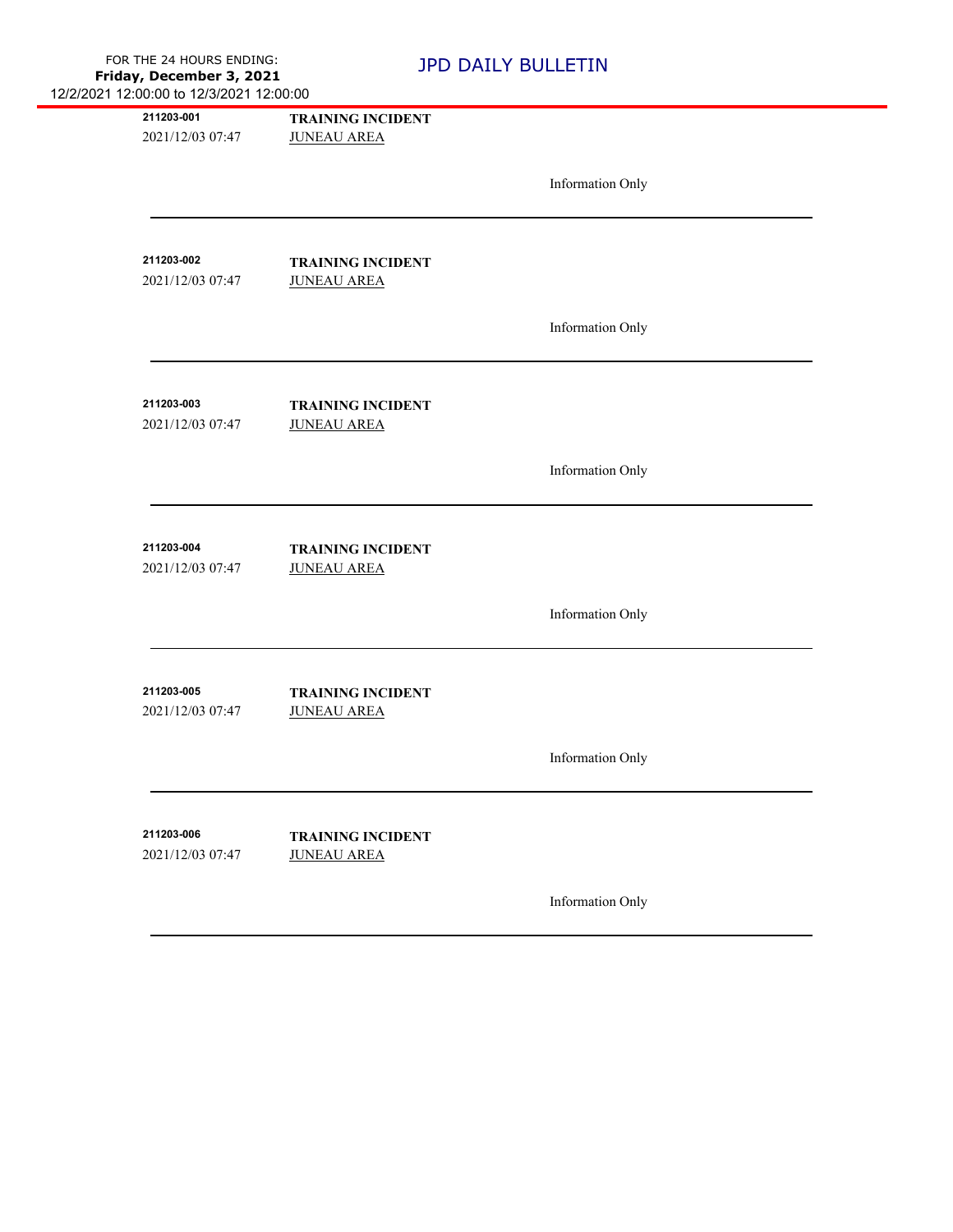| 211203-001<br>2021/12/03 07:47 | <b>TRAINING INCIDENT</b><br><b>JUNEAU AREA</b> |                         |  |
|--------------------------------|------------------------------------------------|-------------------------|--|
|                                |                                                | Information Only        |  |
| 211203-002<br>2021/12/03 07:47 | <b>TRAINING INCIDENT</b><br><b>JUNEAU AREA</b> |                         |  |
|                                |                                                | <b>Information Only</b> |  |
| 211203-003<br>2021/12/03 07:47 | <b>TRAINING INCIDENT</b><br><b>JUNEAU AREA</b> |                         |  |
|                                |                                                | Information Only        |  |
| 211203-004<br>2021/12/03 07:47 | <b>TRAINING INCIDENT</b><br><b>JUNEAU AREA</b> |                         |  |
|                                |                                                | <b>Information Only</b> |  |
| 211203-005<br>2021/12/03 07:47 | <b>TRAINING INCIDENT</b><br><b>JUNEAU AREA</b> |                         |  |
|                                |                                                | Information Only        |  |
| 211203-006<br>2021/12/03 07:47 | <b>TRAINING INCIDENT</b><br><b>JUNEAU AREA</b> |                         |  |
|                                |                                                | <b>Information Only</b> |  |